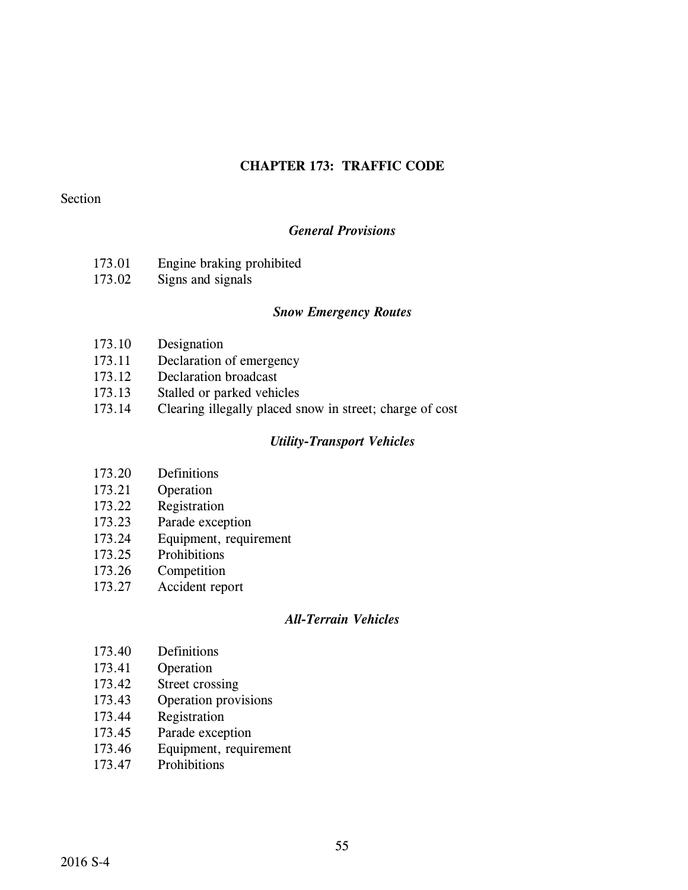# **CHAPTER 173: TRAFFIC CODE**

## Section

## *General Provisions*

- 173.01 Engine braking prohibited
- 173.02 Signs and signals

### *Snow Emergency Routes*

- 173.10 Designation
- 173.11 Declaration of emergency
- 173.12 Declaration broadcast
- 173.13 Stalled or parked vehicles
- 173.14 Clearing illegally placed snow in street; charge of cost

### *Utility-Transport Vehicles*

- 173.20 Definitions
- 173.21 Operation
- 173.22 Registration
- 173.23 Parade exception
- 173.24 Equipment, requirement
- 173.25 Prohibitions
- 173.26 Competition
- 173.27 Accident report

### *All-Terrain Vehicles*

- 173.40 Definitions
- 173.41 Operation
- 173.42 Street crossing
- 173.43 Operation provisions
- 173.44 Registration
- 173.45 Parade exception
- 173.46 Equipment, requirement
- 173.47 Prohibitions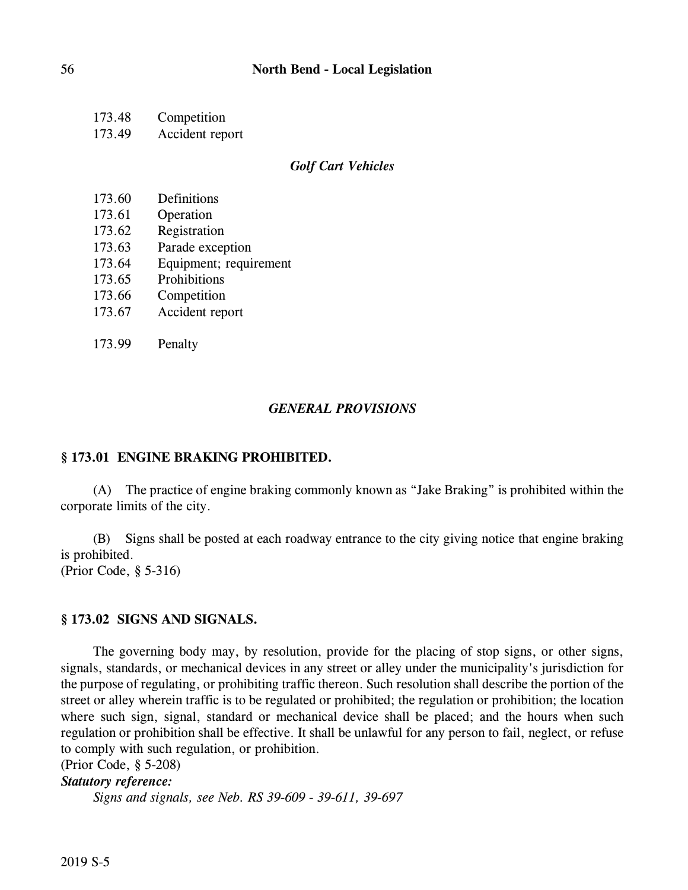| 173.48 | Competition     |
|--------|-----------------|
| 173.49 | Accident report |

#### *Golf Cart Vehicles*

| 173.60 | Definitions |
|--------|-------------|
|        |             |

- 173.61 Operation
- 173.62 Registration
- 173.63 Parade exception
- 173.64 Equipment; requirement
- 173.65 Prohibitions
- 173.66 Competition
- 173.67 Accident report
- 173.99 Penalty

#### *GENERAL PROVISIONS*

#### **§ 173.01 ENGINE BRAKING PROHIBITED.**

(A) The practice of engine braking commonly known as "Jake Braking" is prohibited within the corporate limits of the city.

(B) Signs shall be posted at each roadway entrance to the city giving notice that engine braking is prohibited.

(Prior Code, § 5-316)

### **§ 173.02 SIGNS AND SIGNALS.**

The governing body may, by resolution, provide for the placing of stop signs, or other signs, signals, standards, or mechanical devices in any street or alley under the municipality's jurisdiction for the purpose of regulating, or prohibiting traffic thereon. Such resolution shall describe the portion of the street or alley wherein traffic is to be regulated or prohibited; the regulation or prohibition; the location where such sign, signal, standard or mechanical device shall be placed; and the hours when such regulation or prohibition shall be effective. It shall be unlawful for any person to fail, neglect, or refuse to comply with such regulation, or prohibition.

(Prior Code, § 5-208)

## *Statutory reference:*

*Signs and signals, see Neb. RS 39-609 - 39-611, 39-697*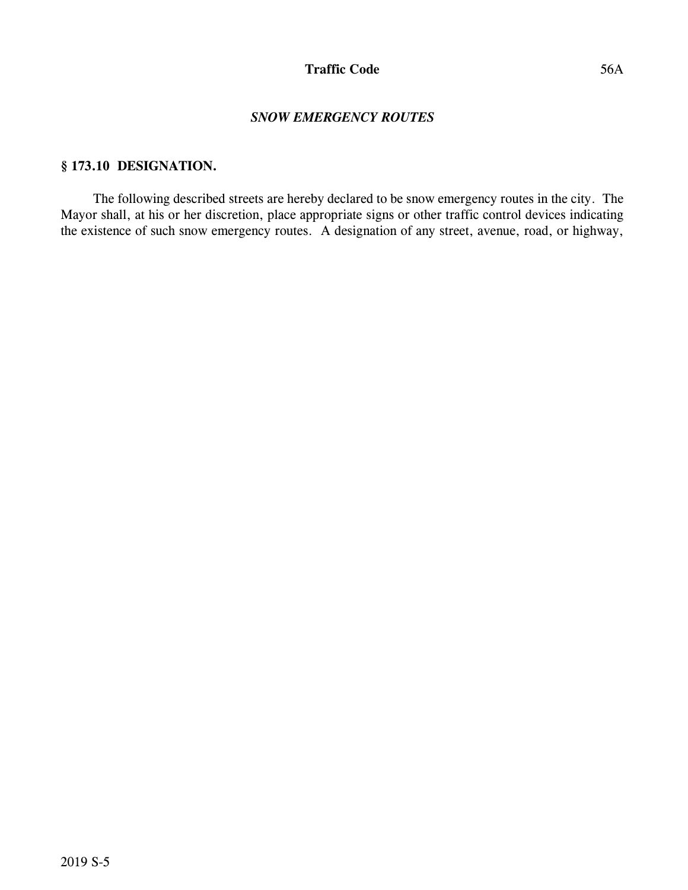### *SNOW EMERGENCY ROUTES*

### **§ 173.10 DESIGNATION.**

The following described streets are hereby declared to be snow emergency routes in the city. The Mayor shall, at his or her discretion, place appropriate signs or other traffic control devices indicating the existence of such snow emergency routes. A designation of any street, avenue, road, or highway,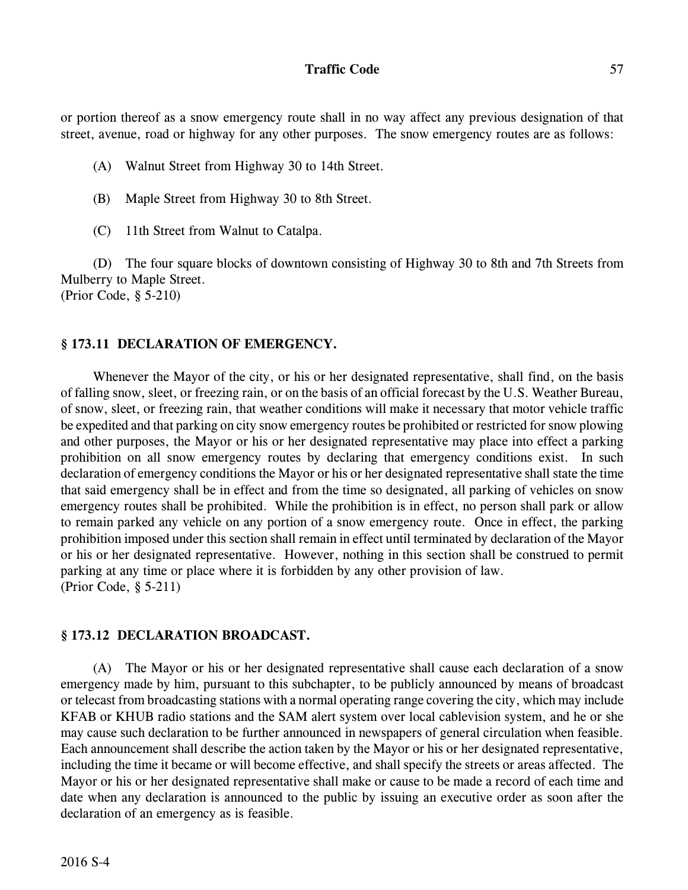or portion thereof as a snow emergency route shall in no way affect any previous designation of that street, avenue, road or highway for any other purposes. The snow emergency routes are as follows:

- (A) Walnut Street from Highway 30 to 14th Street.
- (B) Maple Street from Highway 30 to 8th Street.
- (C) 11th Street from Walnut to Catalpa.

(D) The four square blocks of downtown consisting of Highway 30 to 8th and 7th Streets from Mulberry to Maple Street. (Prior Code, § 5-210)

## **§ 173.11 DECLARATION OF EMERGENCY.**

Whenever the Mayor of the city, or his or her designated representative, shall find, on the basis of falling snow, sleet, or freezing rain, or on the basis of an official forecast by the U.S. Weather Bureau, of snow, sleet, or freezing rain, that weather conditions will make it necessary that motor vehicle traffic be expedited and that parking on city snow emergency routes be prohibited or restricted for snow plowing and other purposes, the Mayor or his or her designated representative may place into effect a parking prohibition on all snow emergency routes by declaring that emergency conditions exist. In such declaration of emergency conditions the Mayor or his or her designated representative shall state the time that said emergency shall be in effect and from the time so designated, all parking of vehicles on snow emergency routes shall be prohibited. While the prohibition is in effect, no person shall park or allow to remain parked any vehicle on any portion of a snow emergency route. Once in effect, the parking prohibition imposed under this section shall remain in effect until terminated by declaration of the Mayor or his or her designated representative. However, nothing in this section shall be construed to permit parking at any time or place where it is forbidden by any other provision of law. (Prior Code, § 5-211)

#### **§ 173.12 DECLARATION BROADCAST.**

(A) The Mayor or his or her designated representative shall cause each declaration of a snow emergency made by him, pursuant to this subchapter, to be publicly announced by means of broadcast or telecast from broadcasting stations with a normal operating range covering the city, which may include KFAB or KHUB radio stations and the SAM alert system over local cablevision system, and he or she may cause such declaration to be further announced in newspapers of general circulation when feasible. Each announcement shall describe the action taken by the Mayor or his or her designated representative, including the time it became or will become effective, and shall specify the streets or areas affected. The Mayor or his or her designated representative shall make or cause to be made a record of each time and date when any declaration is announced to the public by issuing an executive order as soon after the declaration of an emergency as is feasible.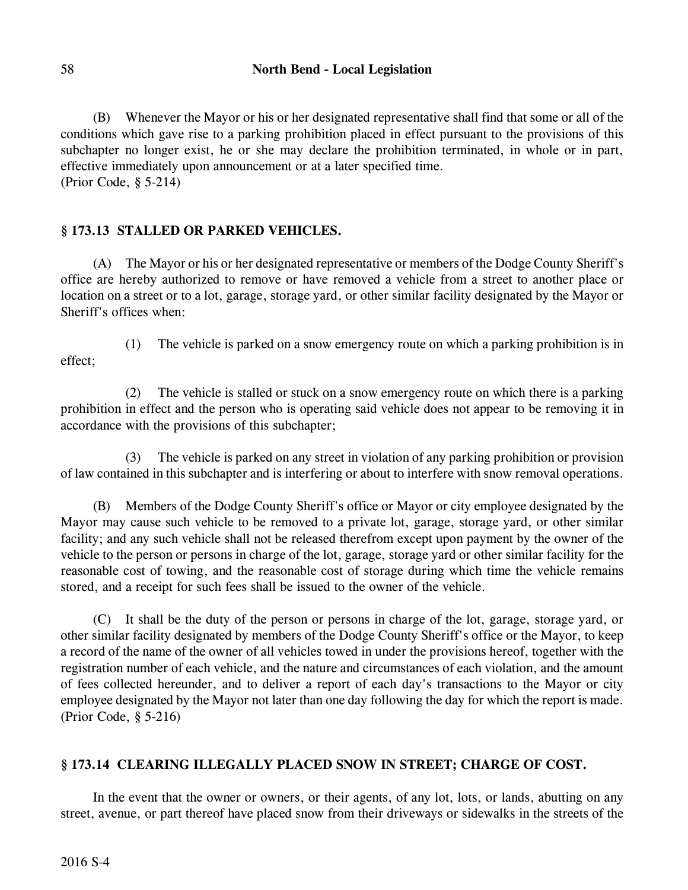(B) Whenever the Mayor or his or her designated representative shall find that some or all of the conditions which gave rise to a parking prohibition placed in effect pursuant to the provisions of this subchapter no longer exist, he or she may declare the prohibition terminated, in whole or in part, effective immediately upon announcement or at a later specified time. (Prior Code, § 5-214)

# **§ 173.13 STALLED OR PARKED VEHICLES.**

(A) The Mayor or his or her designated representative or members of the Dodge County Sheriff's office are hereby authorized to remove or have removed a vehicle from a street to another place or location on a street or to a lot, garage, storage yard, or other similar facility designated by the Mayor or Sheriff's offices when:

(1) The vehicle is parked on a snow emergency route on which a parking prohibition is in effect;

(2) The vehicle is stalled or stuck on a snow emergency route on which there is a parking prohibition in effect and the person who is operating said vehicle does not appear to be removing it in accordance with the provisions of this subchapter;

(3) The vehicle is parked on any street in violation of any parking prohibition or provision of law contained in this subchapter and is interfering or about to interfere with snow removal operations.

(B) Members of the Dodge County Sheriff's office or Mayor or city employee designated by the Mayor may cause such vehicle to be removed to a private lot, garage, storage yard, or other similar facility; and any such vehicle shall not be released therefrom except upon payment by the owner of the vehicle to the person or persons in charge of the lot, garage, storage yard or other similar facility for the reasonable cost of towing, and the reasonable cost of storage during which time the vehicle remains stored, and a receipt for such fees shall be issued to the owner of the vehicle.

(C) It shall be the duty of the person or persons in charge of the lot, garage, storage yard, or other similar facility designated by members of the Dodge County Sheriff's office or the Mayor, to keep a record of the name of the owner of all vehicles towed in under the provisions hereof, together with the registration number of each vehicle, and the nature and circumstances of each violation, and the amount of fees collected hereunder, and to deliver a report of each day's transactions to the Mayor or city employee designated by the Mayor not later than one day following the day for which the report is made. (Prior Code, § 5-216)

# **§ 173.14 CLEARING ILLEGALLY PLACED SNOW IN STREET; CHARGE OF COST.**

In the event that the owner or owners, or their agents, of any lot, lots, or lands, abutting on any street, avenue, or part thereof have placed snow from their driveways or sidewalks in the streets of the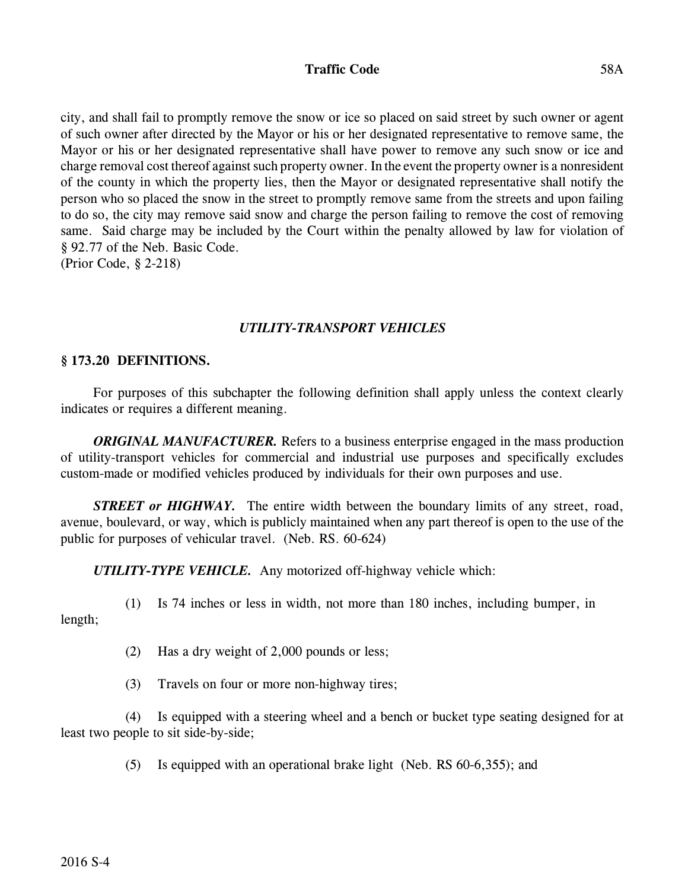## **Traffic Code** 58A

city, and shall fail to promptly remove the snow or ice so placed on said street by such owner or agent of such owner after directed by the Mayor or his or her designated representative to remove same, the Mayor or his or her designated representative shall have power to remove any such snow or ice and charge removal cost thereof against such property owner. In the event the property owneris a nonresident of the county in which the property lies, then the Mayor or designated representative shall notify the person who so placed the snow in the street to promptly remove same from the streets and upon failing to do so, the city may remove said snow and charge the person failing to remove the cost of removing same. Said charge may be included by the Court within the penalty allowed by law for violation of § 92.77 of the Neb. Basic Code. (Prior Code, § 2-218)

## *UTILITY-TRANSPORT VEHICLES*

### **§ 173.20 DEFINITIONS.**

For purposes of this subchapter the following definition shall apply unless the context clearly indicates or requires a different meaning.

*ORIGINAL MANUFACTURER.* Refers to a business enterprise engaged in the mass production of utility-transport vehicles for commercial and industrial use purposes and specifically excludes custom-made or modified vehicles produced by individuals for their own purposes and use.

*STREET or HIGHWAY*. The entire width between the boundary limits of any street, road, avenue, boulevard, or way, which is publicly maintained when any part thereof is open to the use of the public for purposes of vehicular travel. (Neb. RS. 60-624)

*UTILITY-TYPE VEHICLE.* Any motorized off-highway vehicle which:

(1) Is 74 inches or less in width, not more than 180 inches, including bumper, in

length;

(2) Has a dry weight of 2,000 pounds or less;

(3) Travels on four or more non-highway tires;

(4) Is equipped with a steering wheel and a bench or bucket type seating designed for at least two people to sit side-by-side;

(5) Is equipped with an operational brake light (Neb. RS 60-6,355); and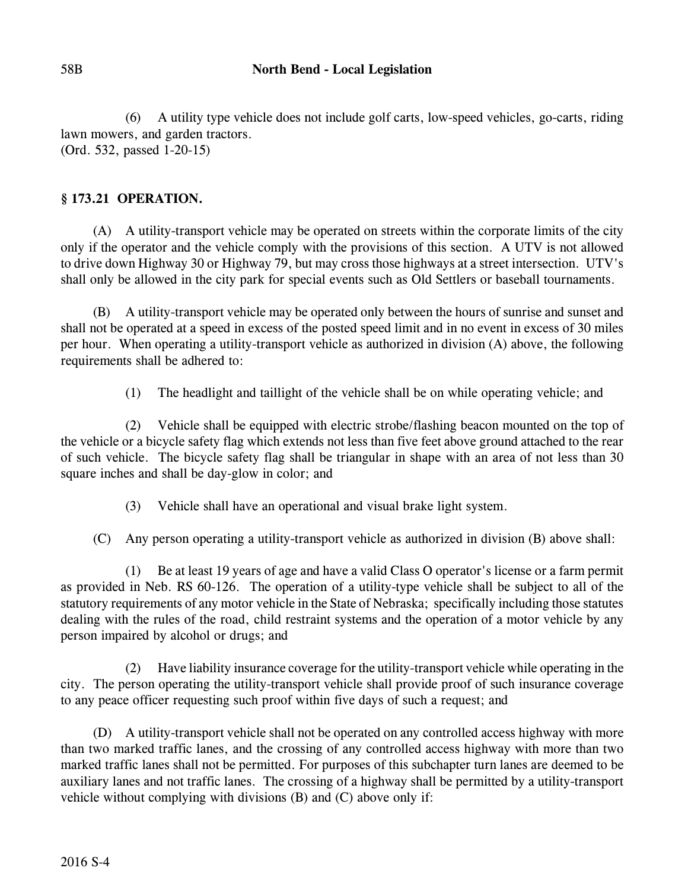(6) A utility type vehicle does not include golf carts, low-speed vehicles, go-carts, riding lawn mowers, and garden tractors. (Ord. 532, passed 1-20-15)

# **§ 173.21 OPERATION.**

(A) A utility-transport vehicle may be operated on streets within the corporate limits of the city only if the operator and the vehicle comply with the provisions of this section. A UTV is not allowed to drive down Highway 30 or Highway 79, but may cross those highways at a street intersection. UTV's shall only be allowed in the city park for special events such as Old Settlers or baseball tournaments.

(B) A utility-transport vehicle may be operated only between the hours of sunrise and sunset and shall not be operated at a speed in excess of the posted speed limit and in no event in excess of 30 miles per hour. When operating a utility-transport vehicle as authorized in division (A) above, the following requirements shall be adhered to:

(1) The headlight and taillight of the vehicle shall be on while operating vehicle; and

(2) Vehicle shall be equipped with electric strobe/flashing beacon mounted on the top of the vehicle or a bicycle safety flag which extends not less than five feet above ground attached to the rear of such vehicle. The bicycle safety flag shall be triangular in shape with an area of not less than 30 square inches and shall be day-glow in color; and

(3) Vehicle shall have an operational and visual brake light system.

(C) Any person operating a utility-transport vehicle as authorized in division (B) above shall:

(1) Be at least 19 years of age and have a valid Class O operator's license or a farm permit as provided in Neb. RS 60-126. The operation of a utility-type vehicle shall be subject to all of the statutory requirements of any motor vehicle in the State of Nebraska; specifically including those statutes dealing with the rules of the road, child restraint systems and the operation of a motor vehicle by any person impaired by alcohol or drugs; and

(2) Have liability insurance coverage for the utility-transport vehicle while operating in the city. The person operating the utility-transport vehicle shall provide proof of such insurance coverage to any peace officer requesting such proof within five days of such a request; and

(D) A utility-transport vehicle shall not be operated on any controlled access highway with more than two marked traffic lanes, and the crossing of any controlled access highway with more than two marked traffic lanes shall not be permitted. For purposes of this subchapter turn lanes are deemed to be auxiliary lanes and not traffic lanes. The crossing of a highway shall be permitted by a utility-transport vehicle without complying with divisions (B) and (C) above only if: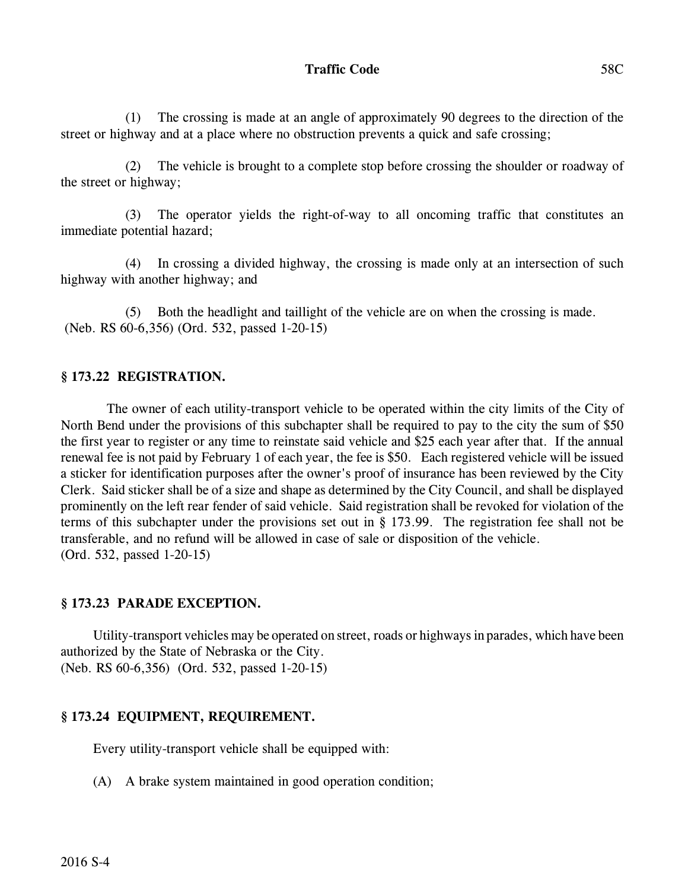(1) The crossing is made at an angle of approximately 90 degrees to the direction of the street or highway and at a place where no obstruction prevents a quick and safe crossing;

(2) The vehicle is brought to a complete stop before crossing the shoulder or roadway of the street or highway;

(3) The operator yields the right-of-way to all oncoming traffic that constitutes an immediate potential hazard;

(4) In crossing a divided highway, the crossing is made only at an intersection of such highway with another highway; and

(5) Both the headlight and taillight of the vehicle are on when the crossing is made. (Neb. RS 60-6,356) (Ord. 532, passed 1-20-15)

# **§ 173.22 REGISTRATION.**

 The owner of each utility-transport vehicle to be operated within the city limits of the City of North Bend under the provisions of this subchapter shall be required to pay to the city the sum of \$50 the first year to register or any time to reinstate said vehicle and \$25 each year after that. If the annual renewal fee is not paid by February 1 of each year, the fee is \$50. Each registered vehicle will be issued a sticker for identification purposes after the owner's proof of insurance has been reviewed by the City Clerk. Said sticker shall be of a size and shape as determined by the City Council, and shall be displayed prominently on the left rear fender of said vehicle. Said registration shall be revoked for violation of the terms of this subchapter under the provisions set out in § 173.99. The registration fee shall not be transferable, and no refund will be allowed in case of sale or disposition of the vehicle. (Ord. 532, passed 1-20-15)

# **§ 173.23 PARADE EXCEPTION.**

Utility-transport vehicles may be operated on street, roads or highways in parades, which have been authorized by the State of Nebraska or the City. (Neb. RS 60-6,356) (Ord. 532, passed 1-20-15)

# **§ 173.24 EQUIPMENT, REQUIREMENT.**

Every utility-transport vehicle shall be equipped with:

(A) A brake system maintained in good operation condition;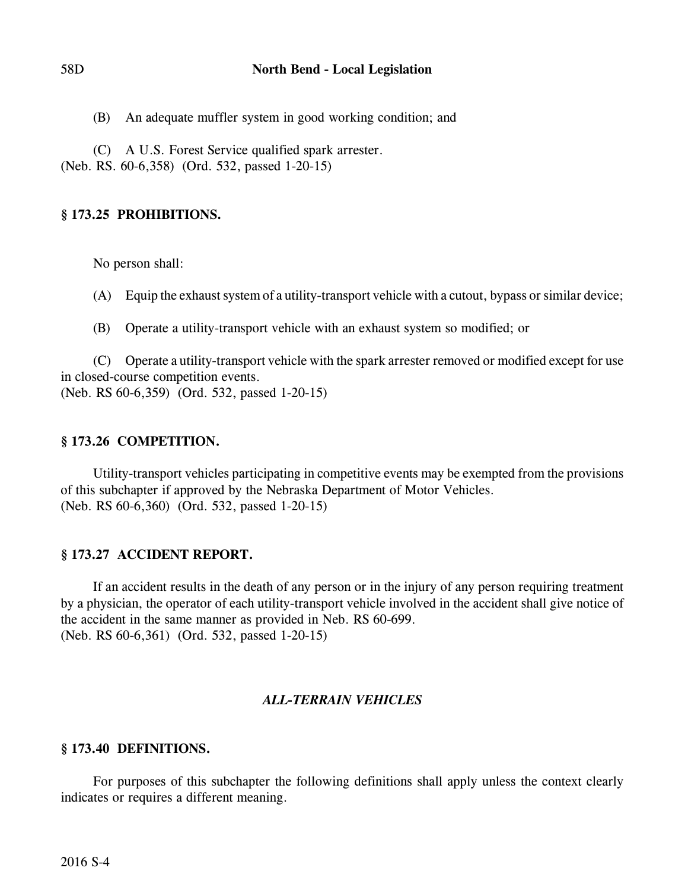(B) An adequate muffler system in good working condition; and

(C) A U.S. Forest Service qualified spark arrester.

(Neb. RS. 60-6,358) (Ord. 532, passed 1-20-15)

# **§ 173.25 PROHIBITIONS.**

No person shall:

(A) Equip the exhaust system of a utility-transport vehicle with a cutout, bypass or similar device;

(B) Operate a utility-transport vehicle with an exhaust system so modified; or

(C) Operate a utility-transport vehicle with the spark arrester removed or modified except for use in closed-course competition events. (Neb. RS 60-6,359) (Ord. 532, passed 1-20-15)

# **§ 173.26 COMPETITION.**

Utility-transport vehicles participating in competitive events may be exempted from the provisions of this subchapter if approved by the Nebraska Department of Motor Vehicles. (Neb. RS 60-6,360) (Ord. 532, passed 1-20-15)

# **§ 173.27 ACCIDENT REPORT.**

If an accident results in the death of any person or in the injury of any person requiring treatment by a physician, the operator of each utility-transport vehicle involved in the accident shall give notice of the accident in the same manner as provided in Neb. RS 60-699. (Neb. RS 60-6,361) (Ord. 532, passed 1-20-15)

# *ALL-TERRAIN VEHICLES*

# **§ 173.40 DEFINITIONS.**

For purposes of this subchapter the following definitions shall apply unless the context clearly indicates or requires a different meaning.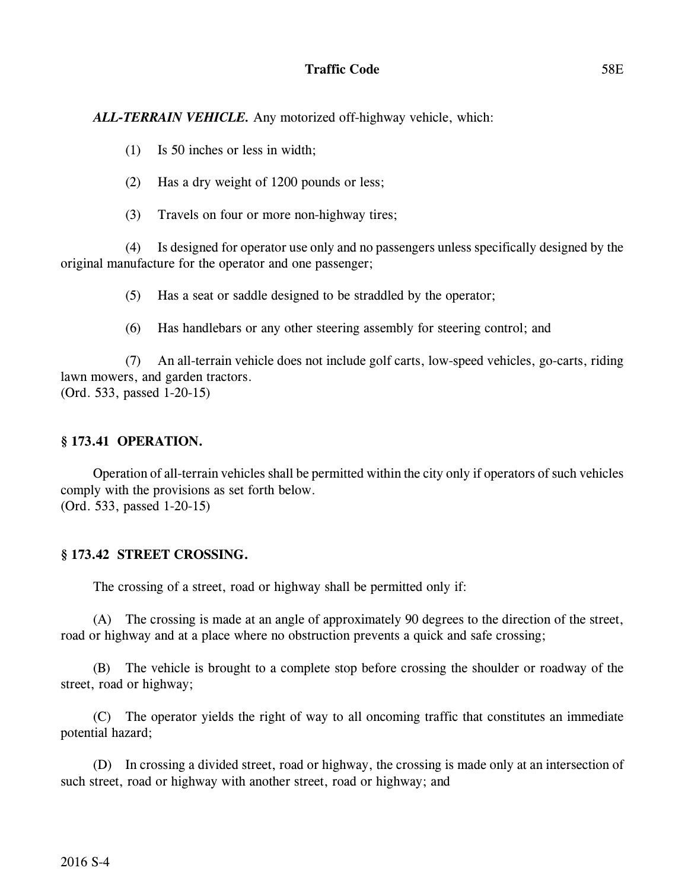# **Traffic Code** 58E

*ALL-TERRAIN VEHICLE.* Any motorized off-highway vehicle, which:

- (1) Is 50 inches or less in width;
- (2) Has a dry weight of 1200 pounds or less;
- (3) Travels on four or more non-highway tires;

(4) Is designed for operator use only and no passengers unless specifically designed by the original manufacture for the operator and one passenger;

(5) Has a seat or saddle designed to be straddled by the operator;

(6) Has handlebars or any other steering assembly for steering control; and

(7) An all-terrain vehicle does not include golf carts, low-speed vehicles, go-carts, riding lawn mowers, and garden tractors. (Ord. 533, passed 1-20-15)

## **§ 173.41 OPERATION.**

Operation of all-terrain vehicles shall be permitted within the city only if operators of such vehicles comply with the provisions as set forth below. (Ord. 533, passed 1-20-15)

# **§ 173.42 STREET CROSSING.**

The crossing of a street, road or highway shall be permitted only if:

(A) The crossing is made at an angle of approximately 90 degrees to the direction of the street, road or highway and at a place where no obstruction prevents a quick and safe crossing;

(B) The vehicle is brought to a complete stop before crossing the shoulder or roadway of the street, road or highway;

(C) The operator yields the right of way to all oncoming traffic that constitutes an immediate potential hazard;

(D) In crossing a divided street, road or highway, the crossing is made only at an intersection of such street, road or highway with another street, road or highway; and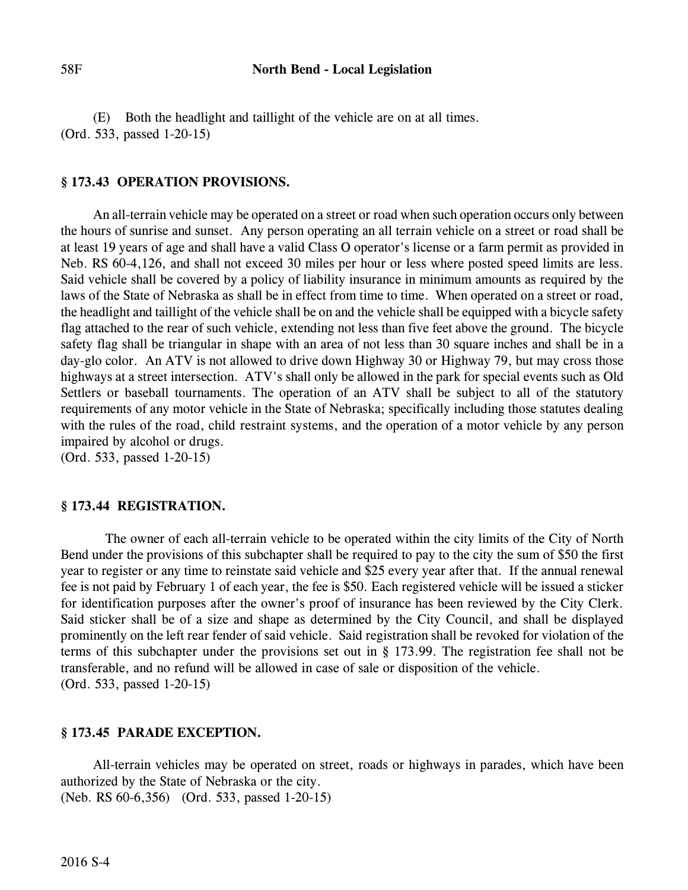(E) Both the headlight and taillight of the vehicle are on at all times. (Ord. 533, passed 1-20-15)

#### **§ 173.43 OPERATION PROVISIONS.**

An all-terrain vehicle may be operated on a street or road when such operation occurs only between the hours of sunrise and sunset. Any person operating an all terrain vehicle on a street or road shall be at least 19 years of age and shall have a valid Class O operator's license or a farm permit as provided in Neb. RS 60-4,126, and shall not exceed 30 miles per hour or less where posted speed limits are less. Said vehicle shall be covered by a policy of liability insurance in minimum amounts as required by the laws of the State of Nebraska as shall be in effect from time to time. When operated on a street or road, the headlight and taillight of the vehicle shall be on and the vehicle shall be equipped with a bicycle safety flag attached to the rear of such vehicle, extending not less than five feet above the ground. The bicycle safety flag shall be triangular in shape with an area of not less than 30 square inches and shall be in a day-glo color. An ATV is not allowed to drive down Highway 30 or Highway 79, but may cross those highways at a street intersection. ATV's shall only be allowed in the park for special events such as Old Settlers or baseball tournaments. The operation of an ATV shall be subject to all of the statutory requirements of any motor vehicle in the State of Nebraska; specifically including those statutes dealing with the rules of the road, child restraint systems, and the operation of a motor vehicle by any person impaired by alcohol or drugs. (Ord. 533, passed 1-20-15)

#### **§ 173.44 REGISTRATION.**

 The owner of each all-terrain vehicle to be operated within the city limits of the City of North Bend under the provisions of this subchapter shall be required to pay to the city the sum of \$50 the first year to register or any time to reinstate said vehicle and \$25 every year after that. If the annual renewal fee is not paid by February 1 of each year, the fee is \$50. Each registered vehicle will be issued a sticker for identification purposes after the owner's proof of insurance has been reviewed by the City Clerk. Said sticker shall be of a size and shape as determined by the City Council, and shall be displayed prominently on the left rear fender of said vehicle. Said registration shall be revoked for violation of the terms of this subchapter under the provisions set out in § 173.99. The registration fee shall not be transferable, and no refund will be allowed in case of sale or disposition of the vehicle. (Ord. 533, passed 1-20-15)

### **§ 173.45 PARADE EXCEPTION.**

All-terrain vehicles may be operated on street, roads or highways in parades, which have been authorized by the State of Nebraska or the city. (Neb. RS 60-6,356) (Ord. 533, passed 1-20-15)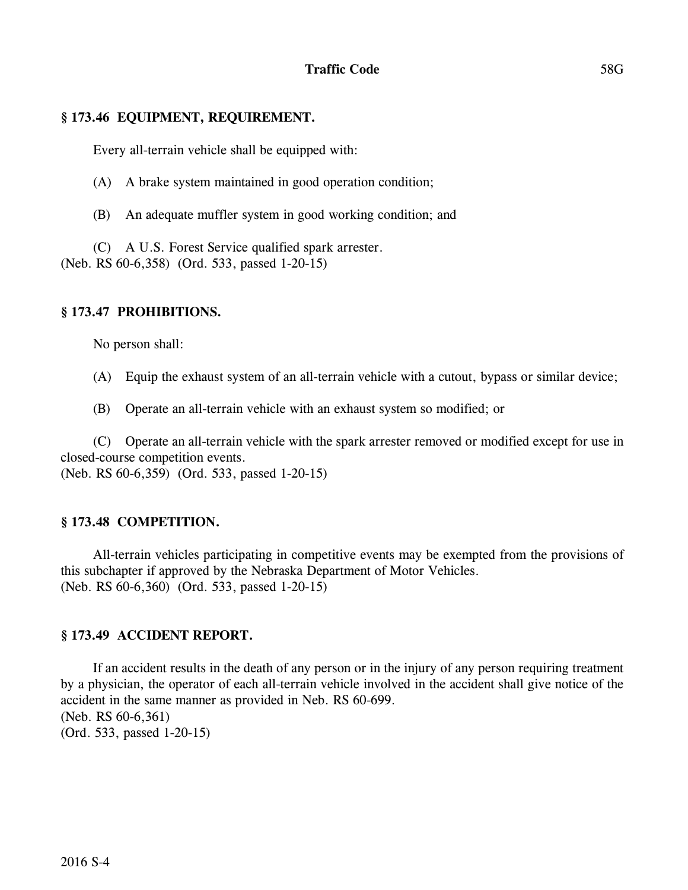## **§ 173.46 EQUIPMENT, REQUIREMENT.**

Every all-terrain vehicle shall be equipped with:

(A) A brake system maintained in good operation condition;

(B) An adequate muffler system in good working condition; and

(C) A U.S. Forest Service qualified spark arrester. (Neb. RS 60-6,358) (Ord. 533, passed 1-20-15)

## **§ 173.47 PROHIBITIONS.**

No person shall:

- (A) Equip the exhaust system of an all-terrain vehicle with a cutout, bypass or similar device;
- (B) Operate an all-terrain vehicle with an exhaust system so modified; or

(C) Operate an all-terrain vehicle with the spark arrester removed or modified except for use in closed-course competition events.

(Neb. RS 60-6,359) (Ord. 533, passed 1-20-15)

# **§ 173.48 COMPETITION.**

All-terrain vehicles participating in competitive events may be exempted from the provisions of this subchapter if approved by the Nebraska Department of Motor Vehicles. (Neb. RS 60-6,360) (Ord. 533, passed 1-20-15)

### **§ 173.49 ACCIDENT REPORT.**

If an accident results in the death of any person or in the injury of any person requiring treatment by a physician, the operator of each all-terrain vehicle involved in the accident shall give notice of the accident in the same manner as provided in Neb. RS 60-699. (Neb. RS 60-6,361) (Ord. 533, passed 1-20-15)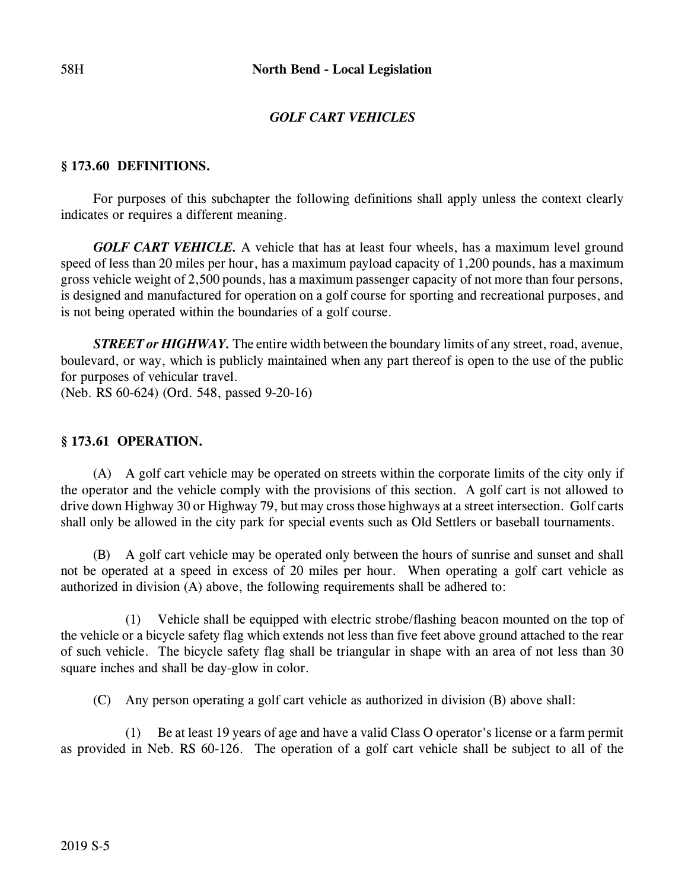# *GOLF CART VEHICLES*

### **§ 173.60 DEFINITIONS.**

For purposes of this subchapter the following definitions shall apply unless the context clearly indicates or requires a different meaning.

*GOLF CART VEHICLE*. A vehicle that has at least four wheels, has a maximum level ground speed of less than 20 miles per hour, has a maximum payload capacity of 1,200 pounds, has a maximum gross vehicle weight of 2,500 pounds, has a maximum passenger capacity of not more than four persons, is designed and manufactured for operation on a golf course for sporting and recreational purposes, and is not being operated within the boundaries of a golf course.

*STREET or HIGHWAY*. The entire width between the boundary limits of any street, road, avenue, boulevard, or way, which is publicly maintained when any part thereof is open to the use of the public for purposes of vehicular travel.

(Neb. RS 60-624) (Ord. 548, passed 9-20-16)

### **§ 173.61 OPERATION.**

(A) A golf cart vehicle may be operated on streets within the corporate limits of the city only if the operator and the vehicle comply with the provisions of this section. A golf cart is not allowed to drive down Highway 30 or Highway 79, but may cross those highways at a street intersection. Golf carts shall only be allowed in the city park for special events such as Old Settlers or baseball tournaments.

(B) A golf cart vehicle may be operated only between the hours of sunrise and sunset and shall not be operated at a speed in excess of 20 miles per hour. When operating a golf cart vehicle as authorized in division (A) above, the following requirements shall be adhered to:

(1) Vehicle shall be equipped with electric strobe/flashing beacon mounted on the top of the vehicle or a bicycle safety flag which extends not less than five feet above ground attached to the rear of such vehicle. The bicycle safety flag shall be triangular in shape with an area of not less than 30 square inches and shall be day-glow in color.

(C) Any person operating a golf cart vehicle as authorized in division (B) above shall:

(1) Be at least 19 years of age and have a valid Class O operator's license or a farm permit as provided in Neb. RS 60-126. The operation of a golf cart vehicle shall be subject to all of the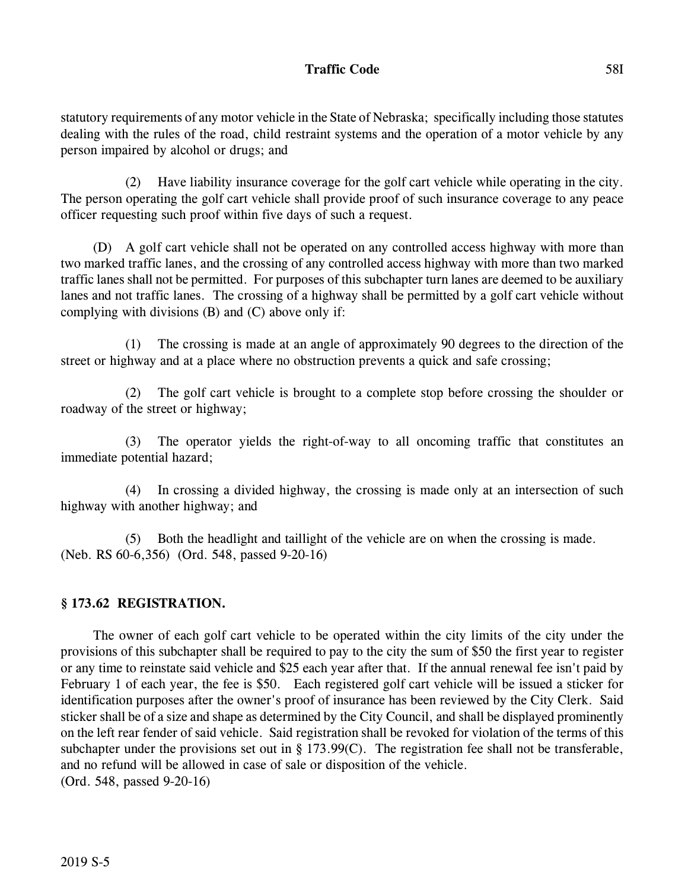# **Traffic Code** 58I

statutory requirements of any motor vehicle in the State of Nebraska; specifically including those statutes dealing with the rules of the road, child restraint systems and the operation of a motor vehicle by any person impaired by alcohol or drugs; and

(2) Have liability insurance coverage for the golf cart vehicle while operating in the city. The person operating the golf cart vehicle shall provide proof of such insurance coverage to any peace officer requesting such proof within five days of such a request.

(D) A golf cart vehicle shall not be operated on any controlled access highway with more than two marked traffic lanes, and the crossing of any controlled access highway with more than two marked traffic lanes shall not be permitted. For purposes of this subchapter turn lanes are deemed to be auxiliary lanes and not traffic lanes. The crossing of a highway shall be permitted by a golf cart vehicle without complying with divisions (B) and (C) above only if:

(1) The crossing is made at an angle of approximately 90 degrees to the direction of the street or highway and at a place where no obstruction prevents a quick and safe crossing;

(2) The golf cart vehicle is brought to a complete stop before crossing the shoulder or roadway of the street or highway;

(3) The operator yields the right-of-way to all oncoming traffic that constitutes an immediate potential hazard;

(4) In crossing a divided highway, the crossing is made only at an intersection of such highway with another highway; and

(5) Both the headlight and taillight of the vehicle are on when the crossing is made. (Neb. RS 60-6,356) (Ord. 548, passed 9-20-16)

# **§ 173.62 REGISTRATION.**

The owner of each golf cart vehicle to be operated within the city limits of the city under the provisions of this subchapter shall be required to pay to the city the sum of \$50 the first year to register or any time to reinstate said vehicle and \$25 each year after that. If the annual renewal fee isn't paid by February 1 of each year, the fee is \$50. Each registered golf cart vehicle will be issued a sticker for identification purposes after the owner's proof of insurance has been reviewed by the City Clerk. Said sticker shall be of a size and shape as determined by the City Council, and shall be displayed prominently on the left rear fender of said vehicle. Said registration shall be revoked for violation of the terms of this subchapter under the provisions set out in § 173.99(C). The registration fee shall not be transferable, and no refund will be allowed in case of sale or disposition of the vehicle. (Ord. 548, passed 9-20-16)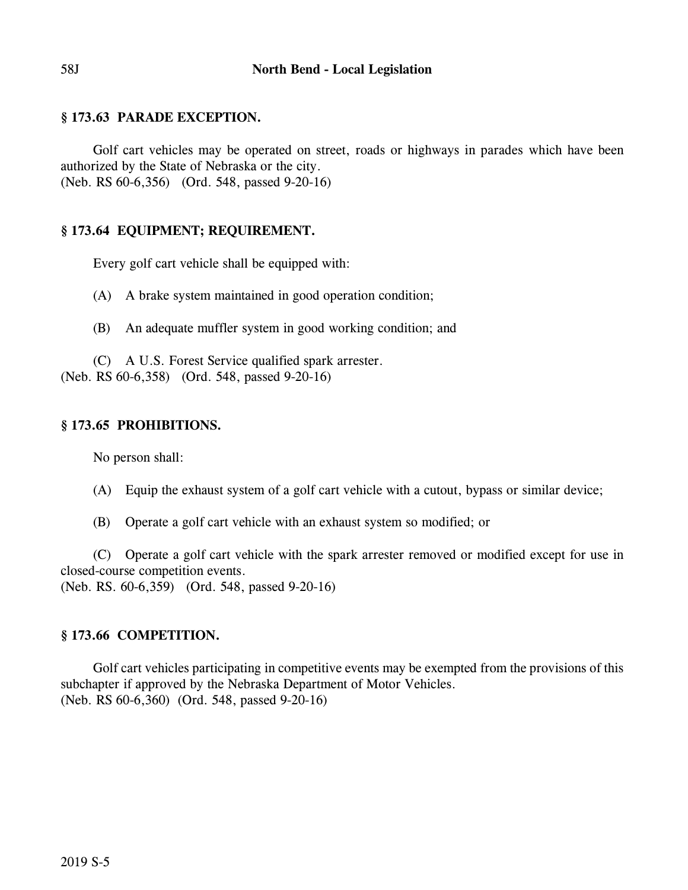## **§ 173.63 PARADE EXCEPTION.**

Golf cart vehicles may be operated on street, roads or highways in parades which have been authorized by the State of Nebraska or the city. (Neb. RS 60-6,356) (Ord. 548, passed 9-20-16)

### **§ 173.64 EQUIPMENT; REQUIREMENT.**

Every golf cart vehicle shall be equipped with:

(A) A brake system maintained in good operation condition;

(B) An adequate muffler system in good working condition; and

(C) A U.S. Forest Service qualified spark arrester.

(Neb. RS 60-6,358) (Ord. 548, passed 9-20-16)

## **§ 173.65 PROHIBITIONS.**

No person shall:

- (A) Equip the exhaust system of a golf cart vehicle with a cutout, bypass or similar device;
- (B) Operate a golf cart vehicle with an exhaust system so modified; or

(C) Operate a golf cart vehicle with the spark arrester removed or modified except for use in closed-course competition events.

(Neb. RS. 60-6,359) (Ord. 548, passed 9-20-16)

# **§ 173.66 COMPETITION.**

Golf cart vehicles participating in competitive events may be exempted from the provisions of this subchapter if approved by the Nebraska Department of Motor Vehicles. (Neb. RS 60-6,360) (Ord. 548, passed 9-20-16)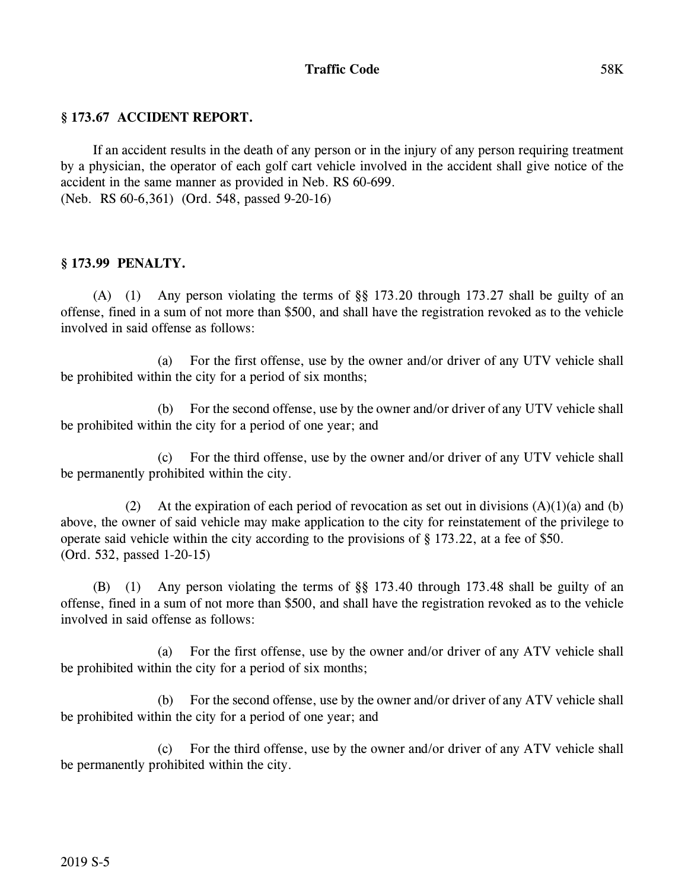## **Traffic Code** 58K

### **§ 173.67 ACCIDENT REPORT.**

If an accident results in the death of any person or in the injury of any person requiring treatment by a physician, the operator of each golf cart vehicle involved in the accident shall give notice of the accident in the same manner as provided in Neb. RS 60-699. (Neb. RS 60-6,361) (Ord. 548, passed 9-20-16)

### **§ 173.99 PENALTY.**

(A) (1) Any person violating the terms of §§ 173.20 through 173.27 shall be guilty of an offense, fined in a sum of not more than \$500, and shall have the registration revoked as to the vehicle involved in said offense as follows:

(a) For the first offense, use by the owner and/or driver of any UTV vehicle shall be prohibited within the city for a period of six months;

(b) For the second offense, use by the owner and/or driver of any UTV vehicle shall be prohibited within the city for a period of one year; and

(c) For the third offense, use by the owner and/or driver of any UTV vehicle shall be permanently prohibited within the city.

(2) At the expiration of each period of revocation as set out in divisions  $(A)(1)(a)$  and  $(b)$ above, the owner of said vehicle may make application to the city for reinstatement of the privilege to operate said vehicle within the city according to the provisions of § 173.22, at a fee of \$50. (Ord. 532, passed 1-20-15)

(B) (1) Any person violating the terms of §§ 173.40 through 173.48 shall be guilty of an offense, fined in a sum of not more than \$500, and shall have the registration revoked as to the vehicle involved in said offense as follows:

(a) For the first offense, use by the owner and/or driver of any ATV vehicle shall be prohibited within the city for a period of six months;

(b) For the second offense, use by the owner and/or driver of any ATV vehicle shall be prohibited within the city for a period of one year; and

(c) For the third offense, use by the owner and/or driver of any ATV vehicle shall be permanently prohibited within the city.